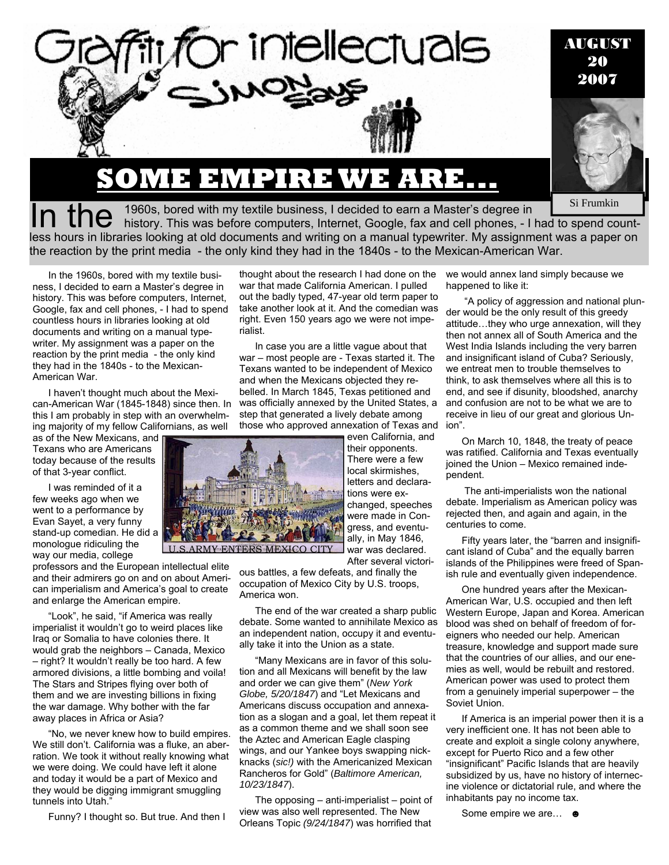

# **SOME EMPIRE WE ARE...**

**By SI FRUMKIN** Si Frumkin

In the <sup>1960s, bored with my textile business, I decided to earn a Master's degree in Si Frumkin Si Frumkin history. This was before computers, Internet, Google, fax and cell phones, - I had to spend count-</sup> less hours in libraries looking at old documents and writing on a manual typewriter. My assignment was a paper on the reaction by the print media - the only kind they had in the 1840s - to the Mexican-American War.

In the 1960s, bored with my textile business, I decided to earn a Master's degree in history. This was before computers, Internet, Google, fax and cell phones, - I had to spend countless hours in libraries looking at old documents and writing on a manual typewriter. My assignment was a paper on the reaction by the print media - the only kind they had in the 1840s - to the Mexican-American War.

I haven't thought much about the Mexican-American War (1845-1848) since then. In this I am probably in step with an overwhelming majority of my fellow Californians, as well

as of the New Mexicans, and Texans who are Americans today because of the results of that 3-year conflict.

I was reminded of it a few weeks ago when we went to a performance by Evan Sayet, a very funny stand-up comedian. He did a monologue ridiculing the way our media, college

professors and the European intellectual elite and their admirers go on and on about American imperialism and America's goal to create and enlarge the American empire.

"Look", he said, "if America was really imperialist it wouldn't go to weird places like Iraq or Somalia to have colonies there. It would grab the neighbors – Canada, Mexico – right? It wouldn't really be too hard. A few armored divisions, a little bombing and voila! The Stars and Stripes flying over both of them and we are investing billions in fixing the war damage. Why bother with the far away places in Africa or Asia?

"No, we never knew how to build empires. We still don't. California was a fluke, an aberration. We took it without really knowing what we were doing. We could have left it alone and today it would be a part of Mexico and they would be digging immigrant smuggling tunnels into Utah."

Funny? I thought so. But true. And then I

war that made California American. I pulled thought about the research I had done on the out the badly typed, 47-year old term paper to take another look at it. And the comedian was right. Even 150 years ago we were not imperialist.

In case you are a little vague about that war – most people are - Texas started it. The Texans wanted to be independent of Mexico and when the Mexicans objected they rebelled. In March 1845, Texas petitioned and was officially annexed by the United States, a step that generated a lively debate among those who approved annexation of Texas and

even California, and their opponents. There were a few local skirmishes, letters and declarations were exchanged, speeches were made in Congress, and eventually, in May 1846, war was declared.

After several victorious battles, a few defeats, and finally the occupation of Mexico City by U.S. troops, America won.

The end of the war created a sharp public debate. Some wanted to annihilate Mexico as an independent nation, occupy it and eventually take it into the Union as a state.

"Many Mexicans are in favor of this solution and all Mexicans will benefit by the law and order we can give them" (*New York Globe, 5/20/1847*) and "Let Mexicans and Americans discuss occupation and annexation as a slogan and a goal, let them repeat it as a common theme and we shall soon see the Aztec and American Eagle clasping wings, and our Yankee boys swapping nickknacks (*sic!)* with the Americanized Mexican Rancheros for Gold" (*Baltimore American, 10/23/1847*).

The opposing – anti-imperialist – point of view was also well represented. The New Orleans Topic *(9/24/1847*) was horrified that

we would annex land simply because we happened to like it:

 "A policy of aggression and national plunder would be the only result of this greedy attitude…they who urge annexation, will they then not annex all of South America and the West India Islands including the very barren and insignificant island of Cuba? Seriously, we entreat men to trouble themselves to think, to ask themselves where all this is to end, and see if disunity, bloodshed, anarchy and confusion are not to be what we are to receive in lieu of our great and glorious Union".

On March 10, 1848, the treaty of peace was ratified. California and Texas eventually joined the Union – Mexico remained independent.

 The anti-imperialists won the national debate. Imperialism as American policy was rejected then, and again and again, in the centuries to come.

Fifty years later, the "barren and insignificant island of Cuba" and the equally barren islands of the Philippines were freed of Spanish rule and eventually given independence.

One hundred years after the Mexican-American War, U.S. occupied and then left Western Europe, Japan and Korea. American blood was shed on behalf of freedom of foreigners who needed our help. American treasure, knowledge and support made sure that the countries of our allies, and our enemies as well, would be rebuilt and restored. American power was used to protect them from a genuinely imperial superpower – the Soviet Union.

If America is an imperial power then it is a very inefficient one. It has not been able to create and exploit a single colony anywhere, except for Puerto Rico and a few other "insignificant" Pacific Islands that are heavily subsidized by us, have no history of internecine violence or dictatorial rule, and where the inhabitants pay no income tax.

Some empire we are… ☻



U.S.ARMY ENTERS MEXICO CITY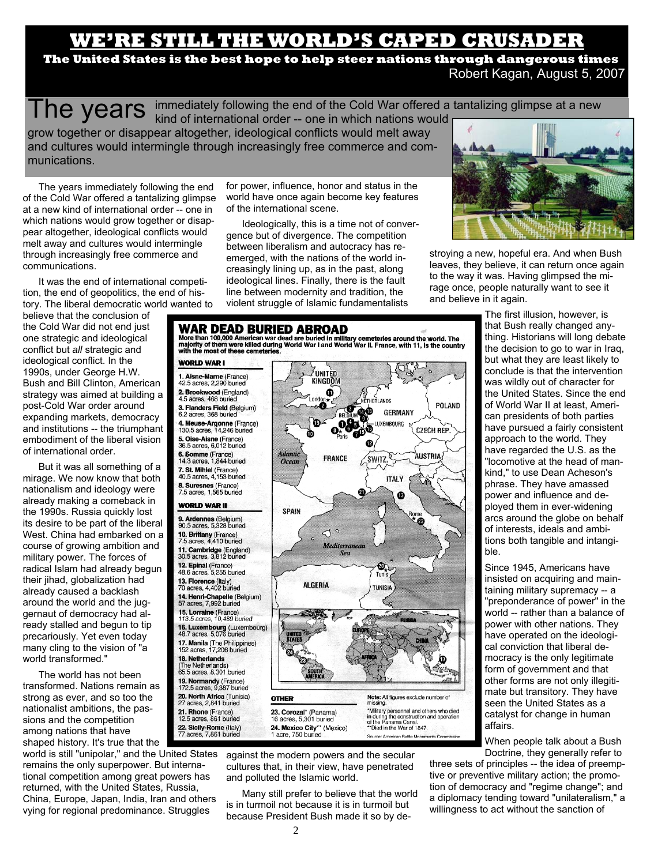## **E'RE STILL THE WORLD'S CAPED CRUSAD!**

**e The United States is the best hope to help steer nations through dangerous times**  Robert Kagan, August 5, 2007

 $\textsf{The years}$  immediately following the end of the Cold War offered a tantalizing glimpse at a new  $\textsf{The year}$ 

kind of international order -- one in which nations would grow together or disappear altogether, ideological conflicts would melt away and cultures would intermingle through increasingly free commerce and communications.

The years immediately following the end of the Cold War offered a tantalizing glimpse at a new kind of international order -- one in which nations would grow together or disappear altogether, ideological conflicts would melt away and cultures would intermingle through increasingly free commerce and communications.

It was the end of international competition, the end of geopolitics, the end of history. The liberal democratic world wanted to

believe that the conclusion of the Cold War did not end just one strategic and ideological conflict but *all* strategic and ideological conflict. In the 1990s, under George H.W. Bush and Bill Clinton, American strategy was aimed at building a post-Cold War order around expanding markets, democracy and institutions -- the triumphant embodiment of the liberal vision of international order.

But it was all something of a mirage. We now know that both nationalism and ideology were already making a comeback in the 1990s. Russia quickly lost its desire to be part of the liberal West. China had embarked on a course of growing ambition and military power. The forces of radical Islam had already begun their jihad, globalization had already caused a backlash around the world and the juggernaut of democracy had already stalled and begun to tip precariously. Yet even today many cling to the vision of "a world transformed."

The world has not been transformed. Nations remain as strong as ever, and so too the nationalist ambitions, the passions and the competition among nations that have shaped history. It's true that the

world is still "unipolar," and the United States remains the only superpower. But international competition among great powers has returned, with the United States, Russia, China, Europe, Japan, India, Iran and others vying for regional predominance. Struggles

for power, influence, honor and status in the world have once again become key features of the international scene.

Ideologically, this is a time not of convergence but of divergence. The competition between liberalism and autocracy has reemerged, with the nations of the world increasingly lining up, as in the past, along ideological lines. Finally, there is the fault line between modernity and tradition, the violent struggle of Islamic fundamentalists



stroying a new, hopeful era. And when Bush leaves, they believe, it can return once again to the way it was. Having glimpsed the mirage once, people naturally want to see it and believe in it again.

POLAND

**CZECH REP** 

### WAR DEAD BURIED ABROAD

Wore than 100,000 American war dead are buried in military cemeteries around the world. The majority of them were killed during World War I and World War II. France, with 11, is the country with the most of these cemeterie

**ZUNITED** 

KINGDOM

 $\bf \Phi$ 

og

e

òo

ക

**GFRMANY** 

LUXEMBOURG œ

#### **WORLD WAR I**

1. Aisne-Marne (France)<br>42.5 acres, 2,290 buried 2. Brookwood (England) 4.5 acres, 468 buried 3. Flanders Field (Belgium) 6.2 acres, 368 burie 4. Meuse-Argonne (France)<br>130.5 acres, 14,246 buried 5. Oise-Aisne (France) 36.5 acres, 6,012 buried 6. Somme (France)<br>14.3 acres, 1,844 buried 7. St. Mihiel (France)<br>40.5 acres, 4,153 buried 8. Suresnes (France) 7.5 acres, 1,565 buried **WORLD WAR II** 9. Ardennes (Belgium)<br>90.5 acres, 5,328 buried 10. Brittany (France)<br>7.5 acres, 4,410 buried 11. Cambridge (England)<br>30.5 acres, 3,812 buried 12. Epinal (France) 48.6 acres, 5,255 buried 13. Florence (Italy)<br>70 acres, 4,402 buried 14. Henri-Chapelle (Belgium)<br>57 acres, 7,992 buried 15. Lorraine (France) 113.5 acres, 10.489 buried 16. Luxembourg (Luxembourg)<br>48.7 acres, 5,076 buried 17. Manila (The Philippines)<br>152 acres, 17,206 buried 18. Netherlands The Netherlands' 65.5 acres, 8,301 buried 19. Normandy (France)<br>172.5 acres, 9,387 buried

20. North Africa (Tunisia) acres, 2,841 buried 21. Rhone (France)<br>12.5 acres, 861 buried 22. Sicily-Rome (Italy) 77 acres, 7,861 buried



against the modern powers and the secular cultures that, in their view, have penetrated and polluted the Islamic world.

Many still prefer to believe that the world is in turmoil not because it is in turmoil but because President Bush made it so by de-

The first illusion, however, is that Bush really changed anything. Historians will long debate the decision to go to war in Iraq, but what they are least likely to conclude is that the intervention was wildly out of character for the United States. Since the end of World War II at least, American presidents of both parties have pursued a fairly consistent approach to the world. They have regarded the U.S. as the "locomotive at the head of mankind," to use Dean Acheson's phrase. They have amassed power and influence and deployed them in ever-widening arcs around the globe on behalf of interests, ideals and ambitions both tangible and intangible.

Since 1945, Americans have insisted on acquiring and maintaining military supremacy -- a "preponderance of power" in the world -- rather than a balance of power with other nations. They have operated on the ideological conviction that liberal democracy is the only legitimate form of government and that other forms are not only illegitimate but transitory. They have seen the United States as a catalyst for change in human affairs.

When people talk about a Bush Doctrine, they generally refer to

three sets of principles -- the idea of preemptive or preventive military action; the promotion of democracy and "regime change"; and a diplomacy tending toward "unilateralism," a willingness to act without the sanction of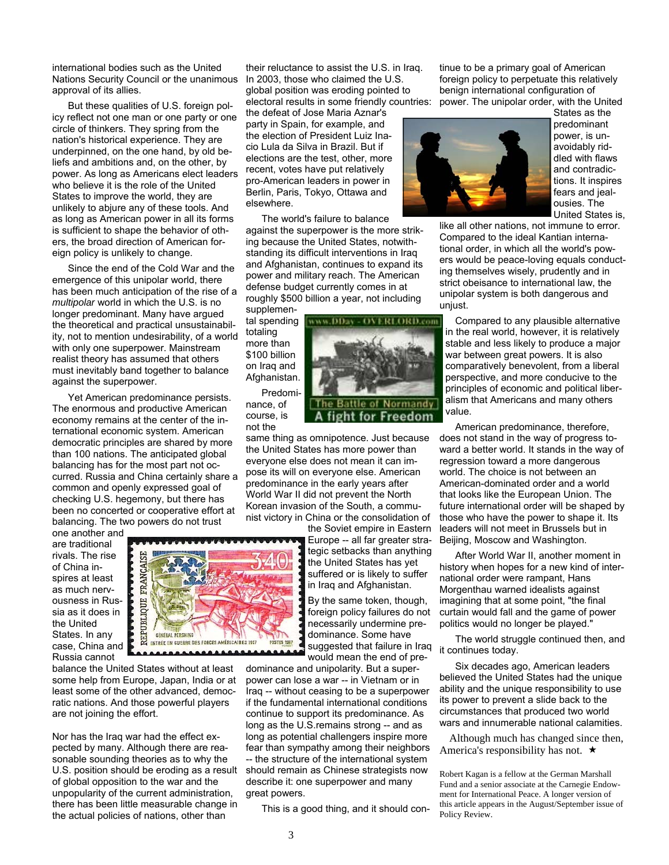international bodies such as the United Nations Security Council or the unanimous approval of its allies.

But these qualities of U.S. foreign policy reflect not one man or one party or one circle of thinkers. They spring from the nation's historical experience. They are underpinned, on the one hand, by old beliefs and ambitions and, on the other, by power. As long as Americans elect leaders who believe it is the role of the United States to improve the world, they are unlikely to abjure any of these tools. And as long as American power in all its forms is sufficient to shape the behavior of others, the broad direction of American foreign policy is unlikely to change.

Since the end of the Cold War and the emergence of this unipolar world, there has been much anticipation of the rise of a *multipolar* world in which the U.S. is no longer predominant. Many have argued the theoretical and practical unsustainability, not to mention undesirability, of a world with only one superpower. Mainstream realist theory has assumed that others must inevitably band together to balance against the superpower.

Yet American predominance persists. The enormous and productive American economy remains at the center of the international economic system. American democratic principles are shared by more than 100 nations. The anticipated global balancing has for the most part not occurred. Russia and China certainly share a common and openly expressed goal of checking U.S. hegemony, but there has been no concerted or cooperative effort at balancing. The two powers do not trust

one another and are traditional rivals. The rise of China inspires at least as much nervousness in Russia as it does in the United States. In any case, China and Russia cannot

balance the United States without at least some help from Europe, Japan, India or at least some of the other advanced, democratic nations. And those powerful players are not joining the effort.

Nor has the Iraq war had the effect expected by many. Although there are reasonable sounding theories as to why the U.S. position should be eroding as a result of global opposition to the war and the unpopularity of the current administration, there has been little measurable change in the actual policies of nations, other than

their reluctance to assist the U.S. in Iraq. In 2003, those who claimed the U.S. global position was eroding pointed to electoral results in some friendly countries:

the defeat of Jose Maria Aznar's party in Spain, for example, and the election of President Luiz Inacio Lula da Silva in Brazil. But if elections are the test, other, more recent, votes have put relatively pro-American leaders in power in Berlin, Paris, Tokyo, Ottawa and elsewhere.

The world's failure to balance against the superpower is the more striking because the United States, notwithstanding its difficult interventions in Iraq and Afghanistan, continues to expand its power and military reach. The American defense budget currently comes in at roughly \$500 billion a year, not including

aas Office

supplemental spending totaling more than \$100 billion on Iraq and Afghanistan. Predomi-

nance, of course, is not the

same thing as omnipotence. Just because the United States has more power than everyone else does not mean it can impose its will on everyone else. American predominance in the early years after World War II did not prevent the North Korean invasion of the South, a communist victory in China or the consolidation of

> the Soviet empire in Eastern Europe -- all far greater strategic setbacks than anything the United States has yet suffered or is likely to suffer in Iraq and Afghanistan.

- OVERLORD.com

**Battle of Normandy** for Freedom

By the same token, though, foreign policy failures do not necessarily undermine predominance. Some have suggested that failure in Iraq would mean the end of pre-

dominance and unipolarity. But a superpower can lose a war -- in Vietnam or in Iraq -- without ceasing to be a superpower if the fundamental international conditions continue to support its predominance. As long as the U.S.remains strong -- and as long as potential challengers inspire more fear than sympathy among their neighbors -- the structure of the international system should remain as Chinese strategists now describe it: one superpower and many great powers.

This is a good thing, and it should con-

tinue to be a primary goal of American foreign policy to perpetuate this relatively benign international configuration of power. The unipolar order, with the United



States as the predominant power, is unavoidably riddled with flaws and contradictions. It inspires fears and jealousies. The United States is,

like all other nations, not immune to error. Compared to the ideal Kantian international order, in which all the world's powers would be peace-loving equals conducting themselves wisely, prudently and in strict obeisance to international law, the unipolar system is both dangerous and unjust.

Compared to any plausible alternative in the real world, however, it is relatively stable and less likely to produce a major war between great powers. It is also comparatively benevolent, from a liberal perspective, and more conducive to the principles of economic and political liberalism that Americans and many others value.

American predominance, therefore, does not stand in the way of progress toward a better world. It stands in the way of regression toward a more dangerous world. The choice is not between an American-dominated order and a world that looks like the European Union. The future international order will be shaped by those who have the power to shape it. Its leaders will not meet in Brussels but in Beijing, Moscow and Washington.

After World War II, another moment in history when hopes for a new kind of international order were rampant, Hans Morgenthau warned idealists against imagining that at some point, "the final curtain would fall and the game of power politics would no longer be played."

The world struggle continued then, and it continues today.

Six decades ago, American leaders believed the United States had the unique ability and the unique responsibility to use its power to prevent a slide back to the circumstances that produced two world wars and innumerable national calamities.

Although much has changed since then, America's responsibility has not.  $\star$ 

Robert Kagan is a fellow at the German Marshall Fund and a senior associate at the Carnegie Endowment for International Peace. A longer version of this article appears in the August/September issue of Policy Review.